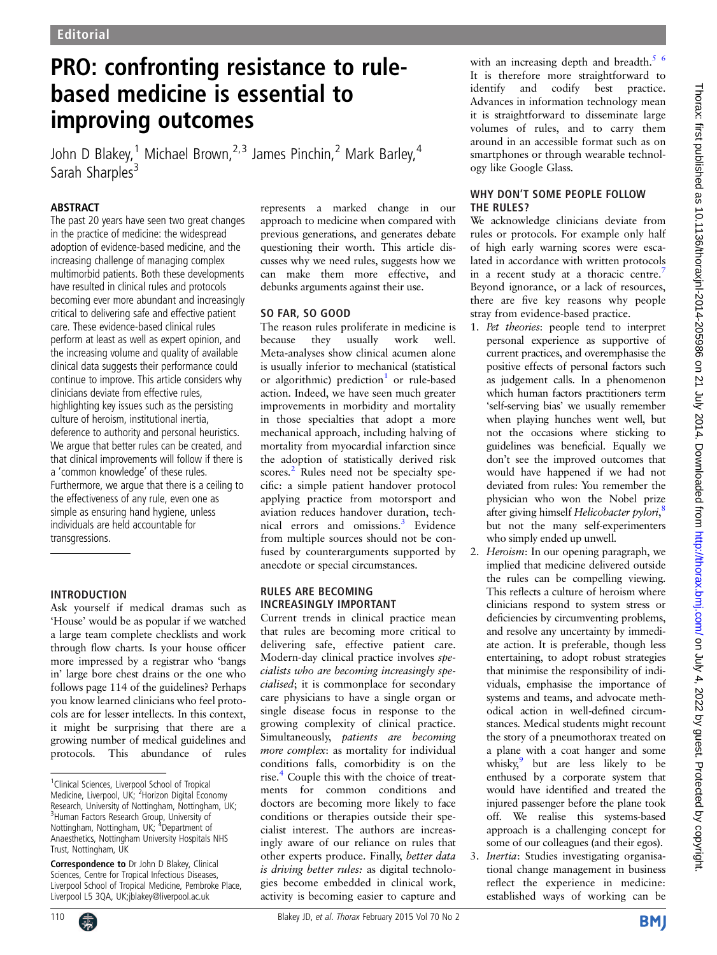# PRO: confronting resistance to rulebased medicine is essential to improving outcomes

John D Blakey,<sup>1</sup> Michael Brown,<sup>2,3</sup> James Pinchin,<sup>2</sup> Mark Barley,<sup>4</sup> Sarah Sharples<sup>3</sup>

# ABSTRACT

The past 20 years have seen two great changes in the practice of medicine: the widespread adoption of evidence-based medicine, and the increasing challenge of managing complex multimorbid patients. Both these developments have resulted in clinical rules and protocols becoming ever more abundant and increasingly critical to delivering safe and effective patient care. These evidence-based clinical rules perform at least as well as expert opinion, and the increasing volume and quality of available clinical data suggests their performance could continue to improve. This article considers why clinicians deviate from effective rules, highlighting key issues such as the persisting culture of heroism, institutional inertia, deference to authority and personal heuristics. We argue that better rules can be created, and that clinical improvements will follow if there is a 'common knowledge' of these rules. Furthermore, we argue that there is a ceiling to the effectiveness of any rule, even one as simple as ensuring hand hygiene, unless individuals are held accountable for transgressions.

# INTRODUCTION

Ask yourself if medical dramas such as 'House' would be as popular if we watched a large team complete checklists and work through flow charts. Is your house officer more impressed by a registrar who 'bangs in' large bore chest drains or the one who follows page 114 of the guidelines? Perhaps you know learned clinicians who feel protocols are for lesser intellects. In this context, it might be surprising that there are a growing number of medical guidelines and protocols. This abundance of rules

Correspondence to Dr John D Blakey, Clinical Sciences, Centre for Tropical Infectious Diseases, Liverpool School of Tropical Medicine, Pembroke Place, Liverpool L5 3QA, UK;jblakey@liverpool.ac.uk



represents a marked change in our approach to medicine when compared with previous generations, and generates debate questioning their worth. This article discusses why we need rules, suggests how we can make them more effective, and debunks arguments against their use.

# SO FAR, SO GOOD

The reason rules proliferate in medicine is because they usually work well. Meta-analyses show clinical acumen alone is usually inferior to mechanical (statistical or algorithmic) prediction<sup>[1](#page-1-0)</sup> or rule-based action. Indeed, we have seen much greater improvements in morbidity and mortality in those specialties that adopt a more mechanical approach, including halving of mortality from myocardial infarction since the adoption of statistically derived risk scores.<sup>[2](#page-1-0)</sup> Rules need not be specialty specific: a simple patient handover protocol applying practice from motorsport and aviation reduces handover duration, technical errors and omissions.<sup>3</sup> Evidence from multiple sources should not be confused by counterarguments supported by anecdote or special circumstances.

## RULES ARE BECOMING INCREASINGLY IMPORTANT

Current trends in clinical practice mean that rules are becoming more critical to delivering safe, effective patient care. Modern-day clinical practice involves specialists who are becoming increasingly specialised; it is commonplace for secondary care physicians to have a single organ or single disease focus in response to the growing complexity of clinical practice. Simultaneously, patients are becoming more complex: as mortality for individual conditions falls, comorbidity is on the rise.<sup>4</sup> Couple this with the choice of treatments for common conditions and doctors are becoming more likely to face conditions or therapies outside their specialist interest. The authors are increasingly aware of our reliance on rules that other experts produce. Finally, better data is driving better rules: as digital technologies become embedded in clinical work, activity is becoming easier to capture and

with an increasing depth and breadth. $5/6$ It is therefore more straightforward to identify and codify best practice. Advances in information technology mean it is straightforward to disseminate large volumes of rules, and to carry them around in an accessible format such as on smartphones or through wearable technology like Google Glass.

## WHY DON'T SOME PEOPLE FOLLOW THE RULES?

We acknowledge clinicians deviate from rules or protocols. For example only half of high early warning scores were escalated in accordance with written protocols in a recent study at a thoracic centre.<sup>[7](#page-1-0)</sup> Beyond ignorance, or a lack of resources, there are five key reasons why people stray from evidence-based practice.

- 1. Pet theories: people tend to interpret personal experience as supportive of current practices, and overemphasise the positive effects of personal factors such as judgement calls. In a phenomenon which human factors practitioners term 'self-serving bias' we usually remember when playing hunches went well, but not the occasions where sticking to guidelines was beneficial. Equally we don't see the improved outcomes that would have happened if we had not deviated from rules: You remember the physician who won the Nobel prize after giving himself Helicobacter pylori,<sup>[8](#page-1-0)</sup> but not the many self-experimenters who simply ended up unwell.
- 2. Heroism: In our opening paragraph, we implied that medicine delivered outside the rules can be compelling viewing. This reflects a culture of heroism where clinicians respond to system stress or deficiencies by circumventing problems, and resolve any uncertainty by immediate action. It is preferable, though less entertaining, to adopt robust strategies that minimise the responsibility of individuals, emphasise the importance of systems and teams, and advocate methodical action in well-defined circumstances. Medical students might recount the story of a pneumothorax treated on a plane with a coat hanger and some whisky,<sup>9</sup> but are less likely to be enthused by a corporate system that would have identified and treated the injured passenger before the plane took off. We realise this systems-based approach is a challenging concept for some of our colleagues (and their egos).
- 3. Inertia: Studies investigating organisational change management in business reflect the experience in medicine: established ways of working can be



<sup>&</sup>lt;sup>1</sup>Clinical Sciences, Liverpool School of Tropical<br>Medicine, Liverpool, UK; <sup>2</sup>Horizon Digital Economy Research, University of Nottingham, Nottingham, UK; <sup>3</sup> Human Factors Research Group, University of<br>Nottingham, Nottingham, UK; <sup>4</sup>Department of Anaesthetics, Nottingham University Hospitals NHS Trust, Nottingham, UK